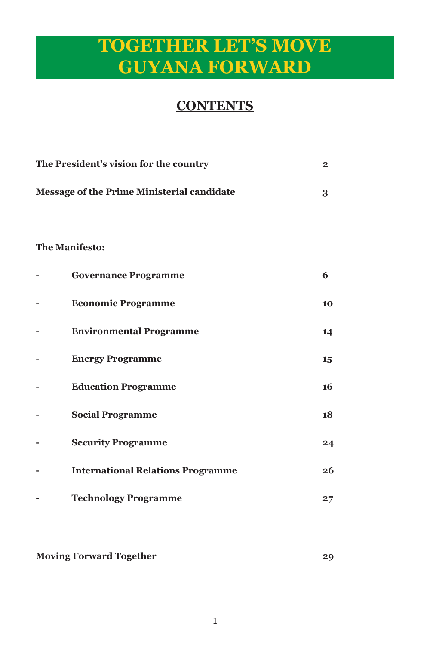## **TOGETHER LET'S MOVE GUYANA FORWARD**

### **CONTENTS**

| The President's vision for the country            | $\mathbf{2}$ |
|---------------------------------------------------|--------------|
| <b>Message of the Prime Ministerial candidate</b> | 3            |
| <b>The Manifesto:</b>                             |              |
| <b>Governance Programme</b>                       | 6            |
| <b>Economic Programme</b>                         | 10           |
| <b>Environmental Programme</b>                    | 14           |
| <b>Energy Programme</b>                           | 15           |
| <b>Education Programme</b>                        | 16           |
| <b>Social Programme</b>                           | 18           |
| <b>Security Programme</b>                         | 24           |
| <b>International Relations Programme</b>          | 26           |
| <b>Technology Programme</b>                       | 27           |

**Moving Forward Together 29**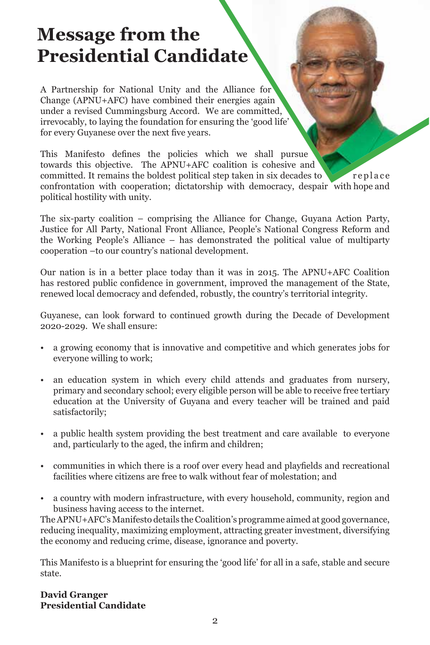## **Message from the Presidential Candidate**

A Partnership for National Unity and the Alliance for Change (APNU+AFC) have combined their energies again under a revised Cummingsburg Accord. We are committed, irrevocably, to laying the foundation for ensuring the 'good life' for every Guyanese over the next five years.

This Manifesto defines the policies which we shall pursue towards this objective. The APNU+AFC coalition is cohesive and committed. It remains the boldest political step taken in six decades to replace confrontation with cooperation; dictatorship with democracy, despair with hope and political hostility with unity.

The six-party coalition – comprising the Alliance for Change, Guyana Action Party, Justice for All Party, National Front Alliance, People's National Congress Reform and the Working People's Alliance – has demonstrated the political value of multiparty cooperation –to our country's national development.

Our nation is in a better place today than it was in 2015. The APNU+AFC Coalition has restored public confidence in government, improved the management of the State, renewed local democracy and defended, robustly, the country's territorial integrity.

Guyanese, can look forward to continued growth during the Decade of Development 2020-2029. We shall ensure:

- a growing economy that is innovative and competitive and which generates jobs for everyone willing to work;
- an education system in which every child attends and graduates from nursery, primary and secondary school; every eligible person will be able to receive free tertiary education at the University of Guyana and every teacher will be trained and paid satisfactorily;
- a public health system providing the best treatment and care available to everyone and, particularly to the aged, the infirm and children;
- communities in which there is a roof over every head and playfields and recreational facilities where citizens are free to walk without fear of molestation; and
- a country with modern infrastructure, with every household, community, region and business having access to the internet.

The APNU+AFC's Manifesto details the Coalition's programme aimed at good governance, reducing inequality, maximizing employment, attracting greater investment, diversifying the economy and reducing crime, disease, ignorance and poverty.

This Manifesto is a blueprint for ensuring the 'good life' for all in a safe, stable and secure state.

**David Granger Presidential Candidate**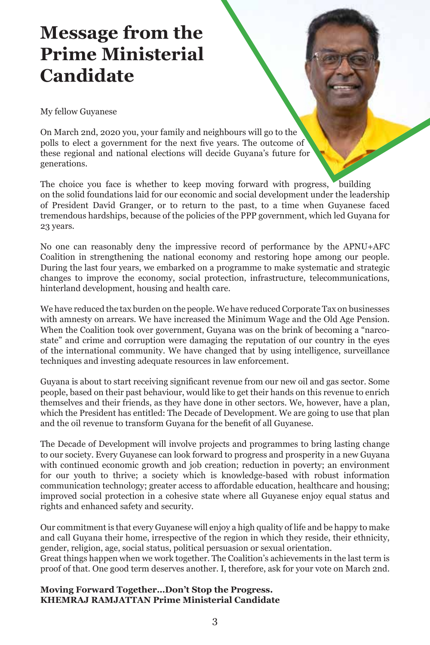## **Message from the Prime Ministerial Candidate**

My fellow Guyanese

On March 2nd, 2020 you, your family and neighbours will go to the polls to elect a government for the next five years. The outcome of these regional and national elections will decide Guyana's future for generations.

The choice you face is whether to keep moving forward with progress, building on the solid foundations laid for our economic and social development under the leadership of President David Granger, or to return to the past, to a time when Guyanese faced tremendous hardships, because of the policies of the PPP government, which led Guyana for 23 years.

No one can reasonably deny the impressive record of performance by the APNU+AFC Coalition in strengthening the national economy and restoring hope among our people. During the last four years, we embarked on a programme to make systematic and strategic changes to improve the economy, social protection, infrastructure, telecommunications, hinterland development, housing and health care.

We have reduced the tax burden on the people. We have reduced Corporate Tax on businesses with amnesty on arrears. We have increased the Minimum Wage and the Old Age Pension. When the Coalition took over government, Guyana was on the brink of becoming a "narcostate" and crime and corruption were damaging the reputation of our country in the eyes of the international community. We have changed that by using intelligence, surveillance techniques and investing adequate resources in law enforcement.

Guyana is about to start receiving significant revenue from our new oil and gas sector. Some people, based on their past behaviour, would like to get their hands on this revenue to enrich themselves and their friends, as they have done in other sectors. We, however, have a plan, which the President has entitled: The Decade of Development. We are going to use that plan and the oil revenue to transform Guyana for the benefit of all Guyanese.

The Decade of Development will involve projects and programmes to bring lasting change to our society. Every Guyanese can look forward to progress and prosperity in a new Guyana with continued economic growth and job creation; reduction in poverty; an environment for our youth to thrive; a society which is knowledge-based with robust information communication technology; greater access to affordable education, healthcare and housing; improved social protection in a cohesive state where all Guyanese enjoy equal status and rights and enhanced safety and security.

Our commitment is that every Guyanese will enjoy a high quality of life and be happy to make and call Guyana their home, irrespective of the region in which they reside, their ethnicity, gender, religion, age, social status, political persuasion or sexual orientation.

Great things happen when we work together. The Coalition's achievements in the last term is proof of that. One good term deserves another. I, therefore, ask for your vote on March 2nd.

#### **Moving Forward Together…Don't Stop the Progress. KHEMRAJ RAMJATTAN Prime Ministerial Candidate**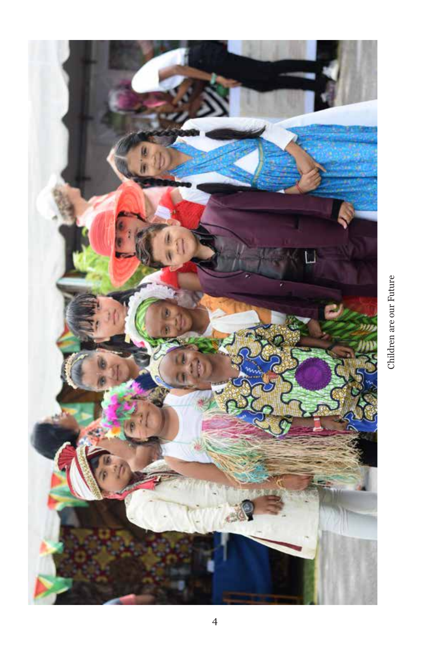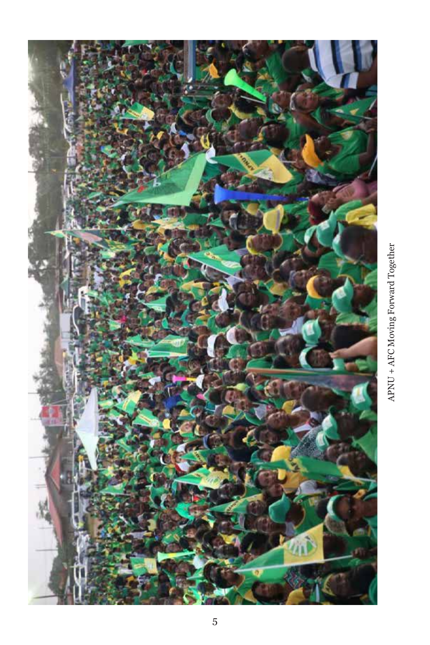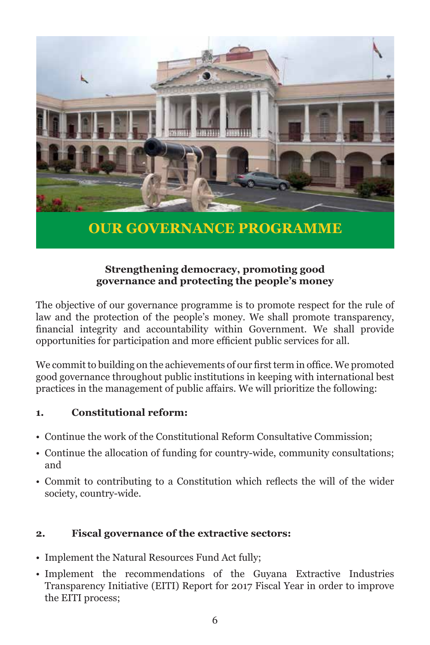

**OUR GOVERNANCE PROGRAMME**

#### **Strengthening democracy, promoting good governance and protecting the people's money**

The objective of our governance programme is to promote respect for the rule of law and the protection of the people's money. We shall promote transparency, financial integrity and accountability within Government. We shall provide opportunities for participation and more efficient public services for all.

We commit to building on the achievements of our first term in office. We promoted good governance throughout public institutions in keeping with international best practices in the management of public affairs. We will prioritize the following:

#### **1. Constitutional reform:**

- Continue the work of the Constitutional Reform Consultative Commission;
- Continue the allocation of funding for country-wide, community consultations; and
- Commit to contributing to a Constitution which reflects the will of the wider society, country-wide.

#### **2. Fiscal governance of the extractive sectors:**

- Implement the Natural Resources Fund Act fully;
- Implement the recommendations of the Guyana Extractive Industries Transparency Initiative (EITI) Report for 2017 Fiscal Year in order to improve the EITI process;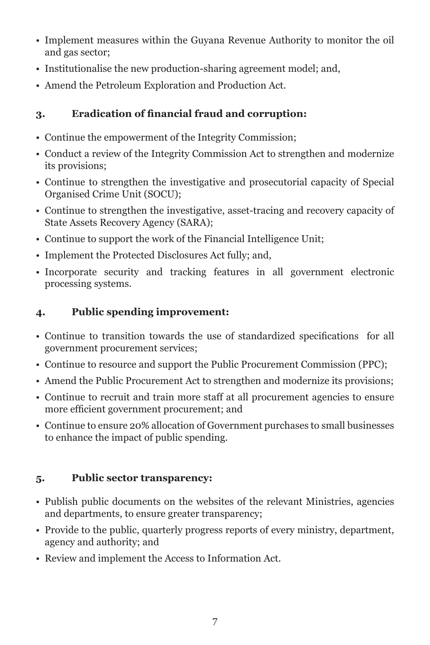- Implement measures within the Guyana Revenue Authority to monitor the oil and gas sector;
- Institutionalise the new production-sharing agreement model; and,
- Amend the Petroleum Exploration and Production Act.

#### **3. Eradication of financial fraud and corruption:**

- Continue the empowerment of the Integrity Commission;
- Conduct a review of the Integrity Commission Act to strengthen and modernize its provisions;
- Continue to strengthen the investigative and prosecutorial capacity of Special Organised Crime Unit (SOCU);
- Continue to strengthen the investigative, asset-tracing and recovery capacity of State Assets Recovery Agency (SARA);
- Continue to support the work of the Financial Intelligence Unit;
- Implement the Protected Disclosures Act fully; and,
- Incorporate security and tracking features in all government electronic processing systems.

#### **4. Public spending improvement:**

- Continue to transition towards the use of standardized specifications for all government procurement services;
- Continue to resource and support the Public Procurement Commission (PPC);
- Amend the Public Procurement Act to strengthen and modernize its provisions;
- Continue to recruit and train more staff at all procurement agencies to ensure more efficient government procurement; and
- Continue to ensure 20% allocation of Government purchases to small businesses to enhance the impact of public spending.

#### **5. Public sector transparency:**

- Publish public documents on the websites of the relevant Ministries, agencies and departments, to ensure greater transparency;
- Provide to the public, quarterly progress reports of every ministry, department, agency and authority; and
- Review and implement the Access to Information Act.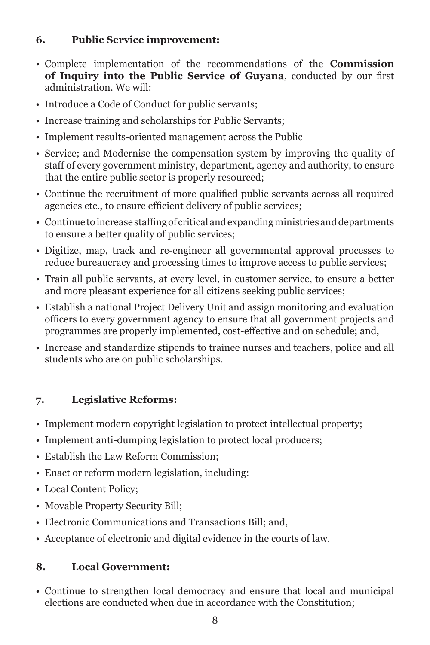#### **6. Public Service improvement:**

- Complete implementation of the recommendations of the **Commission of Inquiry into the Public Service of Guyana**, conducted by our first administration. We will:
- Introduce a Code of Conduct for public servants;
- Increase training and scholarships for Public Servants;
- Implement results-oriented management across the Public
- Service; and Modernise the compensation system by improving the quality of staff of every government ministry, department, agency and authority, to ensure that the entire public sector is properly resourced;
- Continue the recruitment of more qualified public servants across all required agencies etc., to ensure efficient delivery of public services;
- Continue to increase staffing of critical and expanding ministries and departments to ensure a better quality of public services;
- Digitize, map, track and re-engineer all governmental approval processes to reduce bureaucracy and processing times to improve access to public services;
- Train all public servants, at every level, in customer service, to ensure a better and more pleasant experience for all citizens seeking public services;
- Establish a national Project Delivery Unit and assign monitoring and evaluation officers to every government agency to ensure that all government projects and programmes are properly implemented, cost-effective and on schedule; and,
- Increase and standardize stipends to trainee nurses and teachers, police and all students who are on public scholarships.

#### **7. Legislative Reforms:**

- Implement modern copyright legislation to protect intellectual property;
- Implement anti-dumping legislation to protect local producers;
- Establish the Law Reform Commission;
- Enact or reform modern legislation, including:
- Local Content Policy;
- Movable Property Security Bill;
- Electronic Communications and Transactions Bill; and,
- Acceptance of electronic and digital evidence in the courts of law.

#### **8. Local Government:**

• Continue to strengthen local democracy and ensure that local and municipal elections are conducted when due in accordance with the Constitution;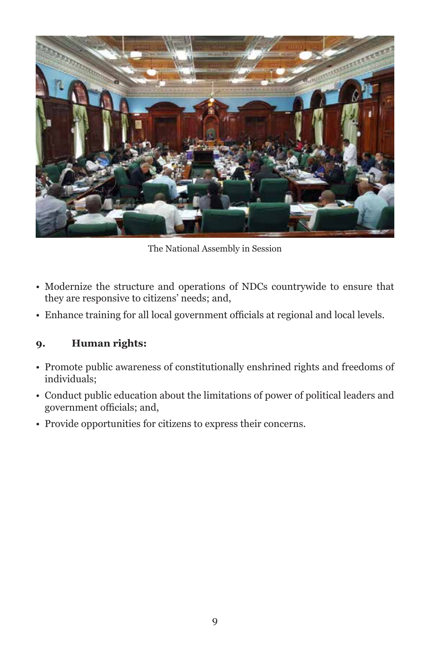

The National Assembly in Session

- Modernize the structure and operations of NDCs countrywide to ensure that they are responsive to citizens' needs; and,
- Enhance training for all local government officials at regional and local levels.

#### **9. Human rights:**

- Promote public awareness of constitutionally enshrined rights and freedoms of individuals;
- Conduct public education about the limitations of power of political leaders and government officials; and,
- Provide opportunities for citizens to express their concerns.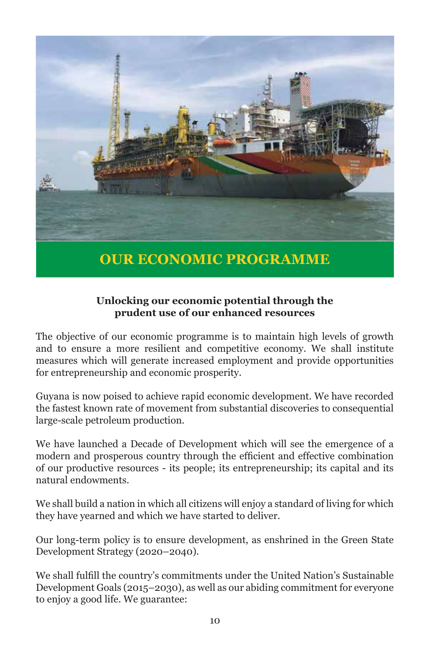

#### **Unlocking our economic potential through the prudent use of our enhanced resources**

The objective of our economic programme is to maintain high levels of growth and to ensure a more resilient and competitive economy. We shall institute measures which will generate increased employment and provide opportunities for entrepreneurship and economic prosperity.

Guyana is now poised to achieve rapid economic development. We have recorded the fastest known rate of movement from substantial discoveries to consequential large-scale petroleum production.

We have launched a Decade of Development which will see the emergence of a modern and prosperous country through the efficient and effective combination of our productive resources - its people; its entrepreneurship; its capital and its natural endowments.

We shall build a nation in which all citizens will enjoy a standard of living for which they have yearned and which we have started to deliver.

Our long-term policy is to ensure development, as enshrined in the Green State Development Strategy (2020–2040).

We shall fulfill the country's commitments under the United Nation's Sustainable Development Goals (2015–2030), as well as our abiding commitment for everyone to enjoy a good life. We guarantee: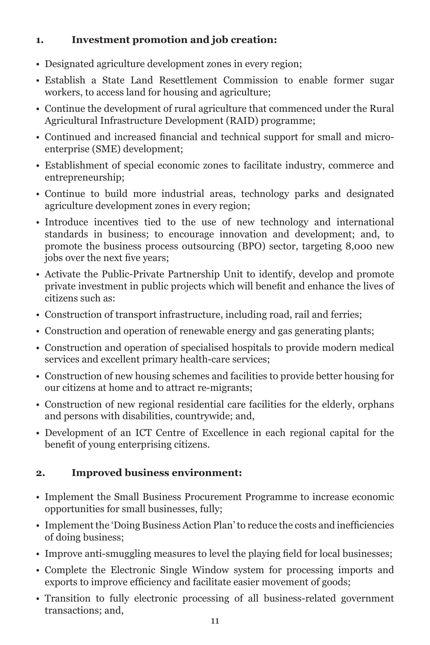#### **1. Investment promotion and job creation:**

- Designated agriculture development zones in every region;
- Establish a State Land Resettlement Commission to enable former sugar workers, to access land for housing and agriculture;
- Continue the development of rural agriculture that commenced under the Rural Agricultural Infrastructure Development (RAID) programme;
- Continued and increased financial and technical support for small and microenterprise (SME) development;
- Establishment of special economic zones to facilitate industry, commerce and entrepreneurship;
- Continue to build more industrial areas, technology parks and designated agriculture development zones in every region;
- Introduce incentives tied to the use of new technology and international standards in business; to encourage innovation and development; and, to promote the business process outsourcing (BPO) sector, targeting 8,000 new jobs over the next five years;
- Activate the Public-Private Partnership Unit to identify, develop and promote private investment in public projects which will benefit and enhance the lives of citizens such as:
- Construction of transport infrastructure, including road, rail and ferries;
- Construction and operation of renewable energy and gas generating plants;
- Construction and operation of specialised hospitals to provide modern medical services and excellent primary health-care services;
- Construction of new housing schemes and facilities to provide better housing for our citizens at home and to attract re-migrants;
- Construction of new regional residential care facilities for the elderly, orphans and persons with disabilities, countrywide; and,
- Development of an ICT Centre of Excellence in each regional capital for the benefit of young enterprising citizens.

#### **2. Improved business environment:**

- Implement the Small Business Procurement Programme to increase economic opportunities for small businesses, fully;
- Implement the 'Doing Business Action Plan' to reduce the costs and inefficiencies of doing business;
- Improve anti-smuggling measures to level the playing field for local businesses;
- Complete the Electronic Single Window system for processing imports and exports to improve efficiency and facilitate easier movement of goods;
- Transition to fully electronic processing of all business-related government transactions; and,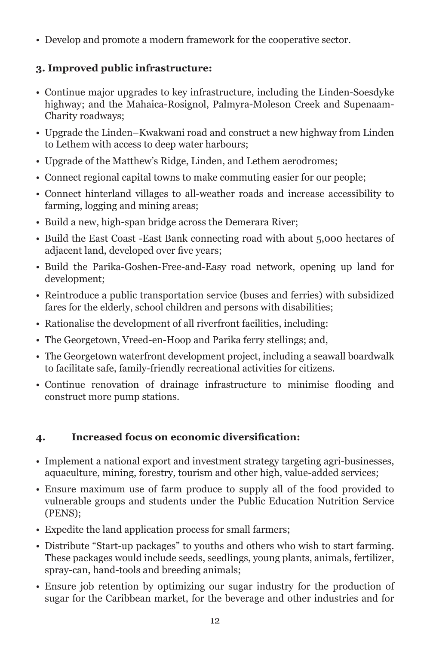• Develop and promote a modern framework for the cooperative sector.

#### **3. Improved public infrastructure:**

- Continue major upgrades to key infrastructure, including the Linden-Soesdyke highway; and the Mahaica-Rosignol, Palmyra-Moleson Creek and Supenaam-Charity roadways;
- Upgrade the Linden–Kwakwani road and construct a new highway from Linden to Lethem with access to deep water harbours;
- Upgrade of the Matthew's Ridge, Linden, and Lethem aerodromes;
- Connect regional capital towns to make commuting easier for our people;
- Connect hinterland villages to all-weather roads and increase accessibility to farming, logging and mining areas;
- Build a new, high-span bridge across the Demerara River;
- Build the East Coast -East Bank connecting road with about 5,000 hectares of adjacent land, developed over five years;
- Build the Parika-Goshen-Free-and-Easy road network, opening up land for development;
- Reintroduce a public transportation service (buses and ferries) with subsidized fares for the elderly, school children and persons with disabilities;
- Rationalise the development of all riverfront facilities, including:
- The Georgetown, Vreed-en-Hoop and Parika ferry stellings; and,
- The Georgetown waterfront development project, including a seawall boardwalk to facilitate safe, family-friendly recreational activities for citizens.
- Continue renovation of drainage infrastructure to minimise flooding and construct more pump stations.

#### **4. Increased focus on economic diversification:**

- Implement a national export and investment strategy targeting agri-businesses, aquaculture, mining, forestry, tourism and other high, value-added services;
- Ensure maximum use of farm produce to supply all of the food provided to vulnerable groups and students under the Public Education Nutrition Service (PENS);
- Expedite the land application process for small farmers;
- Distribute "Start-up packages" to youths and others who wish to start farming. These packages would include seeds, seedlings, young plants, animals, fertilizer, spray-can, hand-tools and breeding animals;
- Ensure job retention by optimizing our sugar industry for the production of sugar for the Caribbean market, for the beverage and other industries and for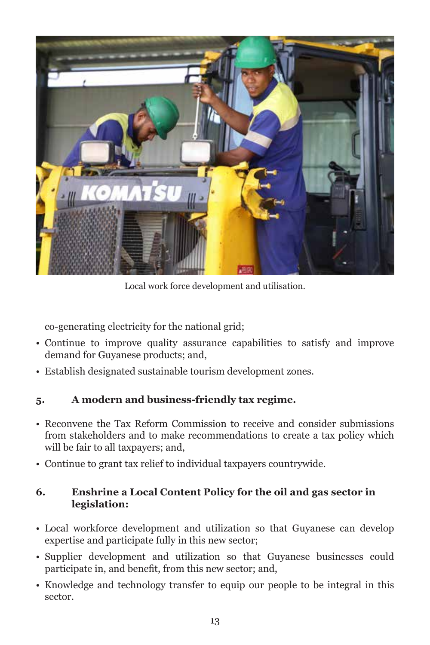

Local work force development and utilisation.

co-generating electricity for the national grid;

- Continue to improve quality assurance capabilities to satisfy and improve demand for Guyanese products; and,
- Establish designated sustainable tourism development zones.

#### **5. A modern and business-friendly tax regime.**

- Reconvene the Tax Reform Commission to receive and consider submissions from stakeholders and to make recommendations to create a tax policy which will be fair to all taxpayers; and,
- Continue to grant tax relief to individual taxpayers countrywide.

#### **6. Enshrine a Local Content Policy for the oil and gas sector in legislation:**

- Local workforce development and utilization so that Guyanese can develop expertise and participate fully in this new sector;
- Supplier development and utilization so that Guyanese businesses could participate in, and benefit, from this new sector; and,
- Knowledge and technology transfer to equip our people to be integral in this sector.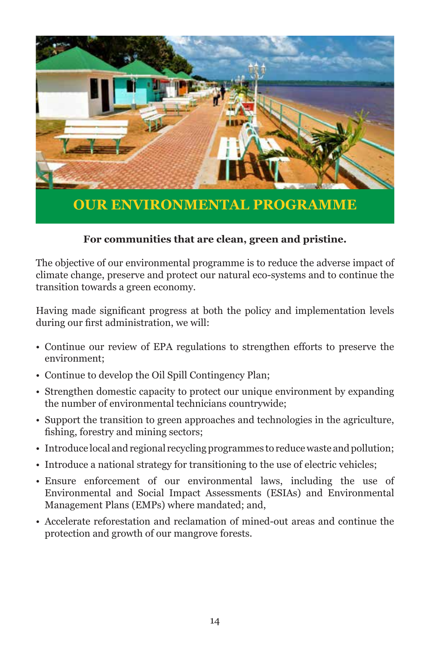

#### **For communities that are clean, green and pristine.**

The objective of our environmental programme is to reduce the adverse impact of climate change, preserve and protect our natural eco-systems and to continue the transition towards a green economy.

Having made significant progress at both the policy and implementation levels during our first administration, we will:

- Continue our review of EPA regulations to strengthen efforts to preserve the environment;
- Continue to develop the Oil Spill Contingency Plan;
- Strengthen domestic capacity to protect our unique environment by expanding the number of environmental technicians countrywide;
- Support the transition to green approaches and technologies in the agriculture, fishing, forestry and mining sectors;
- Introduce local and regional recycling programmes to reduce waste and pollution;
- Introduce a national strategy for transitioning to the use of electric vehicles;
- Ensure enforcement of our environmental laws, including the use of Environmental and Social Impact Assessments (ESIAs) and Environmental Management Plans (EMPs) where mandated; and,
- Accelerate reforestation and reclamation of mined-out areas and continue the protection and growth of our mangrove forests.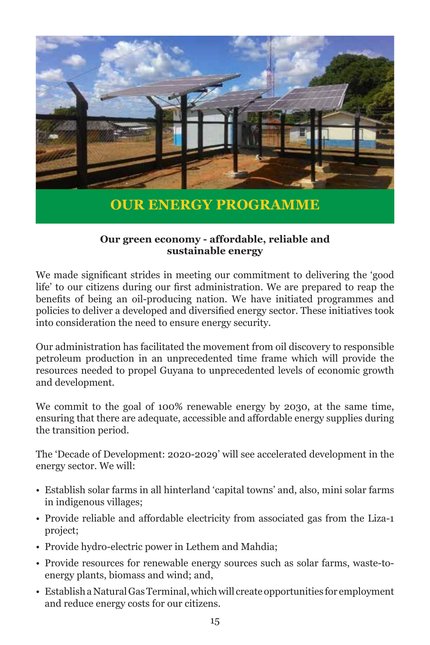

## **OUR ENERGY PROGRAMME**

#### **Our green economy - affordable, reliable and sustainable energy**

We made significant strides in meeting our commitment to delivering the 'good life' to our citizens during our first administration. We are prepared to reap the benefits of being an oil-producing nation. We have initiated programmes and policies to deliver a developed and diversified energy sector. These initiatives took into consideration the need to ensure energy security.

Our administration has facilitated the movement from oil discovery to responsible petroleum production in an unprecedented time frame which will provide the resources needed to propel Guyana to unprecedented levels of economic growth and development.

We commit to the goal of 100% renewable energy by 2030, at the same time, ensuring that there are adequate, accessible and affordable energy supplies during the transition period.

The 'Decade of Development: 2020-2029' will see accelerated development in the energy sector. We will:

- Establish solar farms in all hinterland 'capital towns' and, also, mini solar farms in indigenous villages;
- Provide reliable and affordable electricity from associated gas from the Liza-1 project;
- Provide hydro-electric power in Lethem and Mahdia;
- Provide resources for renewable energy sources such as solar farms, waste-toenergy plants, biomass and wind; and,
- Establish a Natural Gas Terminal, which will create opportunities for employment and reduce energy costs for our citizens.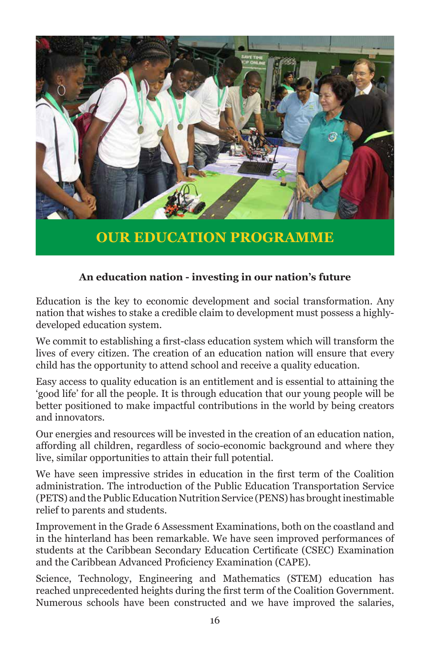

**OUR EDUCATION PROGRAMME**

#### **An education nation - investing in our nation's future**

Education is the key to economic development and social transformation. Any nation that wishes to stake a credible claim to development must possess a highlydeveloped education system.

We commit to establishing a first-class education system which will transform the lives of every citizen. The creation of an education nation will ensure that every child has the opportunity to attend school and receive a quality education.

Easy access to quality education is an entitlement and is essential to attaining the 'good life' for all the people. It is through education that our young people will be better positioned to make impactful contributions in the world by being creators and innovators.

Our energies and resources will be invested in the creation of an education nation, affording all children, regardless of socio-economic background and where they live, similar opportunities to attain their full potential.

We have seen impressive strides in education in the first term of the Coalition administration. The introduction of the Public Education Transportation Service (PETS) and the Public Education Nutrition Service (PENS) has brought inestimable relief to parents and students.

Improvement in the Grade 6 Assessment Examinations, both on the coastland and in the hinterland has been remarkable. We have seen improved performances of students at the Caribbean Secondary Education Certificate (CSEC) Examination and the Caribbean Advanced Proficiency Examination (CAPE).

Science, Technology, Engineering and Mathematics (STEM) education has reached unprecedented heights during the first term of the Coalition Government. Numerous schools have been constructed and we have improved the salaries,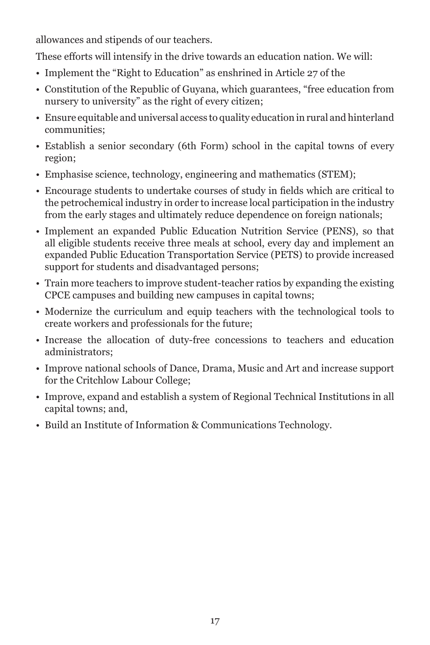allowances and stipends of our teachers.

These efforts will intensify in the drive towards an education nation. We will:

- Implement the "Right to Education" as enshrined in Article 27 of the
- Constitution of the Republic of Guyana, which guarantees, "free education from nursery to university" as the right of every citizen;
- Ensure equitable and universal access to quality education in rural and hinterland communities;
- Establish a senior secondary (6th Form) school in the capital towns of every region;
- Emphasise science, technology, engineering and mathematics (STEM);
- Encourage students to undertake courses of study in fields which are critical to the petrochemical industry in order to increase local participation in the industry from the early stages and ultimately reduce dependence on foreign nationals;
- Implement an expanded Public Education Nutrition Service (PENS), so that all eligible students receive three meals at school, every day and implement an expanded Public Education Transportation Service (PETS) to provide increased support for students and disadvantaged persons;
- Train more teachers to improve student-teacher ratios by expanding the existing CPCE campuses and building new campuses in capital towns;
- Modernize the curriculum and equip teachers with the technological tools to create workers and professionals for the future;
- Increase the allocation of duty-free concessions to teachers and education administrators;
- Improve national schools of Dance, Drama, Music and Art and increase support for the Critchlow Labour College;
- Improve, expand and establish a system of Regional Technical Institutions in all capital towns; and,
- Build an Institute of Information & Communications Technology.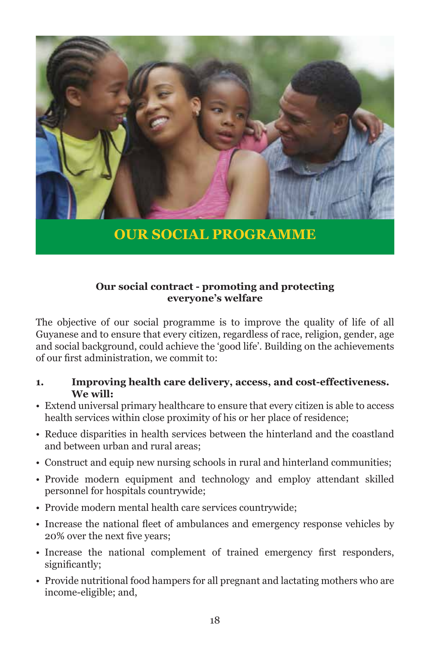

**OUR SOCIAL PROGRAMME**

#### **Our social contract - promoting and protecting everyone's welfare**

The objective of our social programme is to improve the quality of life of all Guyanese and to ensure that every citizen, regardless of race, religion, gender, age and social background, could achieve the 'good life'. Building on the achievements of our first administration, we commit to:

#### **1. Improving health care delivery, access, and cost-effectiveness. We will:**

- Extend universal primary healthcare to ensure that every citizen is able to access health services within close proximity of his or her place of residence;
- Reduce disparities in health services between the hinterland and the coastland and between urban and rural areas;
- Construct and equip new nursing schools in rural and hinterland communities;
- Provide modern equipment and technology and employ attendant skilled personnel for hospitals countrywide;
- Provide modern mental health care services countrywide;
- Increase the national fleet of ambulances and emergency response vehicles by 20% over the next five years;
- Increase the national complement of trained emergency first responders, significantly;
- Provide nutritional food hampers for all pregnant and lactating mothers who are income-eligible; and,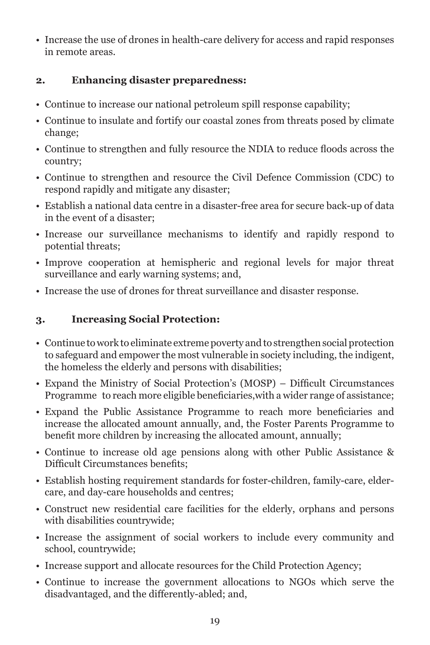• Increase the use of drones in health-care delivery for access and rapid responses in remote areas.

#### **2. Enhancing disaster preparedness:**

- Continue to increase our national petroleum spill response capability;
- Continue to insulate and fortify our coastal zones from threats posed by climate change;
- Continue to strengthen and fully resource the NDIA to reduce floods across the country;
- Continue to strengthen and resource the Civil Defence Commission (CDC) to respond rapidly and mitigate any disaster;
- Establish a national data centre in a disaster-free area for secure back-up of data in the event of a disaster;
- Increase our surveillance mechanisms to identify and rapidly respond to potential threats;
- Improve cooperation at hemispheric and regional levels for major threat surveillance and early warning systems; and,
- Increase the use of drones for threat surveillance and disaster response.

#### **3. Increasing Social Protection:**

- Continue to work to eliminate extreme poverty and to strengthen social protection to safeguard and empower the most vulnerable in society including, the indigent, the homeless the elderly and persons with disabilities;
- Expand the Ministry of Social Protection's (MOSP) Difficult Circumstances Programme to reach more eligible beneficiaries,with a wider range of assistance;
- Expand the Public Assistance Programme to reach more beneficiaries and increase the allocated amount annually, and, the Foster Parents Programme to benefit more children by increasing the allocated amount, annually;
- Continue to increase old age pensions along with other Public Assistance & Difficult Circumstances benefits;
- Establish hosting requirement standards for foster-children, family-care, eldercare, and day-care households and centres;
- Construct new residential care facilities for the elderly, orphans and persons with disabilities countrywide;
- Increase the assignment of social workers to include every community and school, countrywide;
- Increase support and allocate resources for the Child Protection Agency;
- Continue to increase the government allocations to NGOs which serve the disadvantaged, and the differently-abled; and,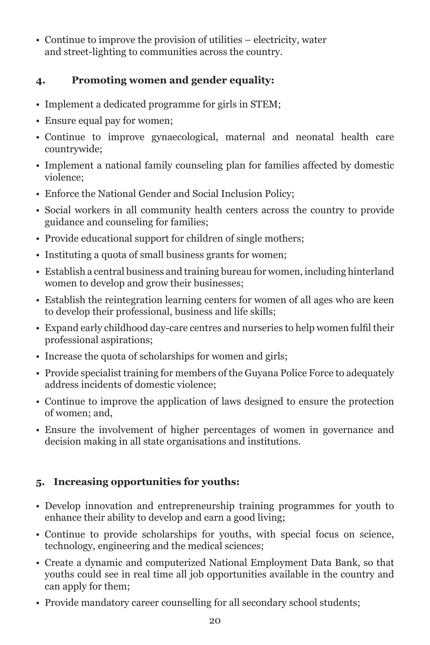• Continue to improve the provision of utilities – electricity, water and street-lighting to communities across the country.

#### **4. Promoting women and gender equality:**

- Implement a dedicated programme for girls in STEM;
- Ensure equal pay for women;
- Continue to improve gynaecological, maternal and neonatal health care countrywide;
- Implement a national family counseling plan for families affected by domestic violence;
- Enforce the National Gender and Social Inclusion Policy;
- Social workers in all community health centers across the country to provide guidance and counseling for families;
- Provide educational support for children of single mothers;
- Instituting a quota of small business grants for women;
- Establish a central business and training bureau for women, including hinterland women to develop and grow their businesses;
- Establish the reintegration learning centers for women of all ages who are keen to develop their professional, business and life skills;
- Expand early childhood day-care centres and nurseries to help women fulfil their professional aspirations;
- Increase the quota of scholarships for women and girls;
- Provide specialist training for members of the Guyana Police Force to adequately address incidents of domestic violence;
- Continue to improve the application of laws designed to ensure the protection of women; and,
- Ensure the involvement of higher percentages of women in governance and decision making in all state organisations and institutions.

#### **5. Increasing opportunities for youths:**

- Develop innovation and entrepreneurship training programmes for youth to enhance their ability to develop and earn a good living;
- Continue to provide scholarships for youths, with special focus on science, technology, engineering and the medical sciences;
- Create a dynamic and computerized National Employment Data Bank, so that youths could see in real time all job opportunities available in the country and can apply for them;
- Provide mandatory career counselling for all secondary school students;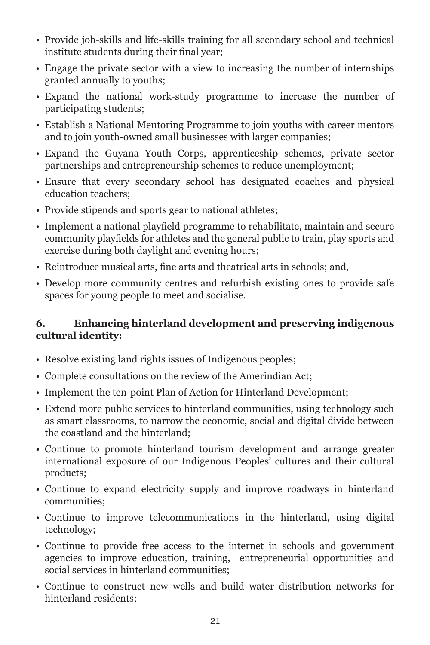- Provide job-skills and life-skills training for all secondary school and technical institute students during their final year;
- Engage the private sector with a view to increasing the number of internships granted annually to youths;
- Expand the national work-study programme to increase the number of participating students;
- Establish a National Mentoring Programme to join youths with career mentors and to join youth-owned small businesses with larger companies;
- Expand the Guyana Youth Corps, apprenticeship schemes, private sector partnerships and entrepreneurship schemes to reduce unemployment;
- Ensure that every secondary school has designated coaches and physical education teachers;
- Provide stipends and sports gear to national athletes;
- Implement a national playfield programme to rehabilitate, maintain and secure community playfields for athletes and the general public to train, play sports and exercise during both daylight and evening hours;
- Reintroduce musical arts, fine arts and theatrical arts in schools; and,
- Develop more community centres and refurbish existing ones to provide safe spaces for young people to meet and socialise.

#### **6. Enhancing hinterland development and preserving indigenous cultural identity:**

- Resolve existing land rights issues of Indigenous peoples;
- Complete consultations on the review of the Amerindian Act;
- Implement the ten-point Plan of Action for Hinterland Development;
- Extend more public services to hinterland communities, using technology such as smart classrooms, to narrow the economic, social and digital divide between the coastland and the hinterland;
- Continue to promote hinterland tourism development and arrange greater international exposure of our Indigenous Peoples' cultures and their cultural products;
- Continue to expand electricity supply and improve roadways in hinterland communities;
- Continue to improve telecommunications in the hinterland, using digital technology;
- Continue to provide free access to the internet in schools and government agencies to improve education, training, entrepreneurial opportunities and social services in hinterland communities;
- Continue to construct new wells and build water distribution networks for hinterland residents;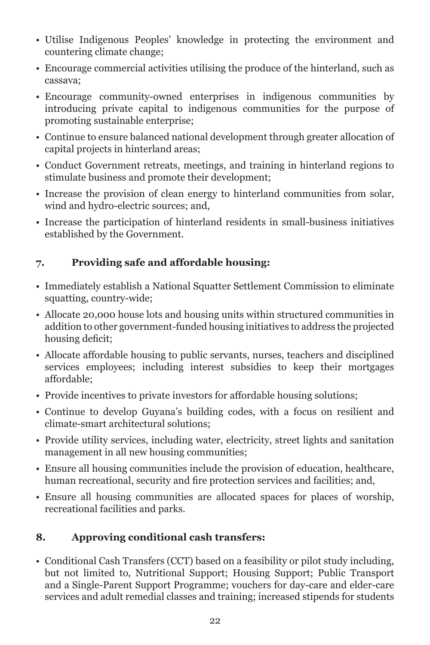- Utilise Indigenous Peoples' knowledge in protecting the environment and countering climate change;
- Encourage commercial activities utilising the produce of the hinterland, such as cassava;
- Encourage community-owned enterprises in indigenous communities by introducing private capital to indigenous communities for the purpose of promoting sustainable enterprise;
- Continue to ensure balanced national development through greater allocation of capital projects in hinterland areas;
- Conduct Government retreats, meetings, and training in hinterland regions to stimulate business and promote their development;
- Increase the provision of clean energy to hinterland communities from solar, wind and hydro-electric sources; and,
- Increase the participation of hinterland residents in small-business initiatives established by the Government.

#### **7. Providing safe and affordable housing:**

- Immediately establish a National Squatter Settlement Commission to eliminate squatting, country-wide;
- Allocate 20,000 house lots and housing units within structured communities in addition to other government-funded housing initiatives to address the projected housing deficit;
- Allocate affordable housing to public servants, nurses, teachers and disciplined services employees; including interest subsidies to keep their mortgages affordable;
- Provide incentives to private investors for affordable housing solutions;
- Continue to develop Guyana's building codes, with a focus on resilient and climate-smart architectural solutions;
- Provide utility services, including water, electricity, street lights and sanitation management in all new housing communities;
- Ensure all housing communities include the provision of education, healthcare, human recreational, security and fire protection services and facilities; and,
- Ensure all housing communities are allocated spaces for places of worship, recreational facilities and parks.

#### **8. Approving conditional cash transfers:**

• Conditional Cash Transfers (CCT) based on a feasibility or pilot study including, but not limited to, Nutritional Support; Housing Support; Public Transport and a Single-Parent Support Programme; vouchers for day-care and elder-care services and adult remedial classes and training; increased stipends for students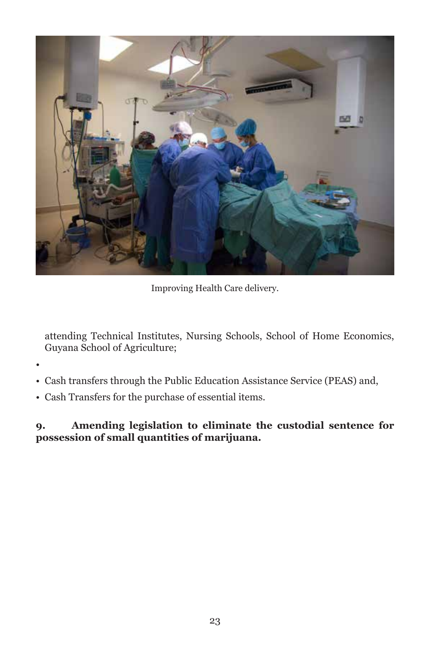

Improving Health Care delivery.

attending Technical Institutes, Nursing Schools, School of Home Economics, Guyana School of Agriculture;

•

- Cash transfers through the Public Education Assistance Service (PEAS) and,
- Cash Transfers for the purchase of essential items.

**9. Amending legislation to eliminate the custodial sentence for possession of small quantities of marijuana.**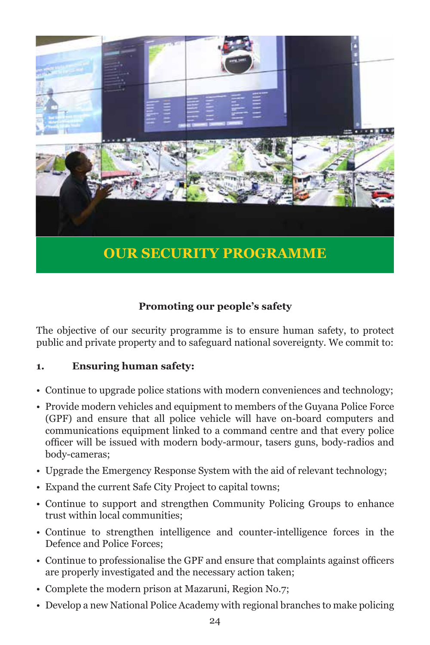

#### **Promoting our people's safety**

The objective of our security programme is to ensure human safety, to protect public and private property and to safeguard national sovereignty. We commit to:

#### **1. Ensuring human safety:**

- Continue to upgrade police stations with modern conveniences and technology;
- Provide modern vehicles and equipment to members of the Guyana Police Force (GPF) and ensure that all police vehicle will have on-board computers and communications equipment linked to a command centre and that every police officer will be issued with modern body-armour, tasers guns, body-radios and body-cameras;
- Upgrade the Emergency Response System with the aid of relevant technology;
- Expand the current Safe City Project to capital towns;
- Continue to support and strengthen Community Policing Groups to enhance trust within local communities;
- Continue to strengthen intelligence and counter-intelligence forces in the Defence and Police Forces;
- Continue to professionalise the GPF and ensure that complaints against officers are properly investigated and the necessary action taken;
- Complete the modern prison at Mazaruni, Region No.7;
- Develop a new National Police Academy with regional branches to make policing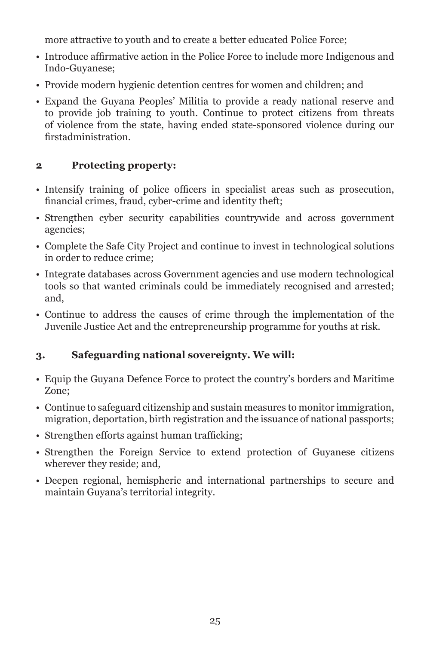more attractive to youth and to create a better educated Police Force;

- Introduce affirmative action in the Police Force to include more Indigenous and Indo-Guyanese;
- Provide modern hygienic detention centres for women and children; and
- Expand the Guyana Peoples' Militia to provide a ready national reserve and to provide job training to youth. Continue to protect citizens from threats of violence from the state, having ended state-sponsored violence during our firstadministration.

#### **2 Protecting property:**

- Intensify training of police officers in specialist areas such as prosecution, financial crimes, fraud, cyber-crime and identity theft;
- Strengthen cyber security capabilities countrywide and across government agencies;
- Complete the Safe City Project and continue to invest in technological solutions in order to reduce crime;
- Integrate databases across Government agencies and use modern technological tools so that wanted criminals could be immediately recognised and arrested; and,
- Continue to address the causes of crime through the implementation of the Juvenile Justice Act and the entrepreneurship programme for youths at risk.

#### **3. Safeguarding national sovereignty. We will:**

- Equip the Guyana Defence Force to protect the country's borders and Maritime Zone;
- Continue to safeguard citizenship and sustain measures to monitor immigration, migration, deportation, birth registration and the issuance of national passports;
- Strengthen efforts against human trafficking;
- Strengthen the Foreign Service to extend protection of Guyanese citizens wherever they reside; and,
- Deepen regional, hemispheric and international partnerships to secure and maintain Guyana's territorial integrity.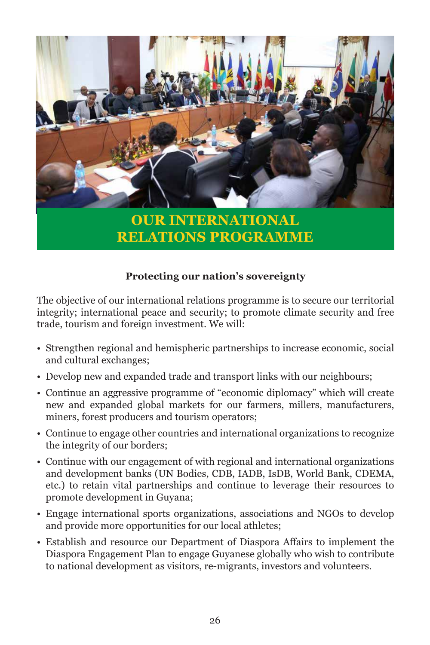

**OUR INTERNATIONAL RELATIONS PROGRAMME**

#### **Protecting our nation's sovereignty**

The objective of our international relations programme is to secure our territorial integrity; international peace and security; to promote climate security and free trade, tourism and foreign investment. We will:

- Strengthen regional and hemispheric partnerships to increase economic, social and cultural exchanges;
- Develop new and expanded trade and transport links with our neighbours;
- Continue an aggressive programme of "economic diplomacy" which will create new and expanded global markets for our farmers, millers, manufacturers, miners, forest producers and tourism operators;
- Continue to engage other countries and international organizations to recognize the integrity of our borders;
- Continue with our engagement of with regional and international organizations and development banks (UN Bodies, CDB, IADB, IsDB, World Bank, CDEMA, etc.) to retain vital partnerships and continue to leverage their resources to promote development in Guyana;
- Engage international sports organizations, associations and NGOs to develop and provide more opportunities for our local athletes;
- Establish and resource our Department of Diaspora Affairs to implement the Diaspora Engagement Plan to engage Guyanese globally who wish to contribute to national development as visitors, re-migrants, investors and volunteers.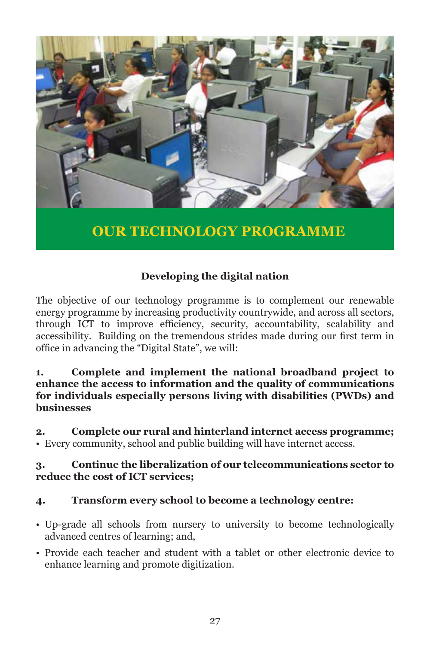

#### **Developing the digital nation**

The objective of our technology programme is to complement our renewable energy programme by increasing productivity countrywide, and across all sectors, through ICT to improve efficiency, security, accountability, scalability and accessibility. Building on the tremendous strides made during our first term in office in advancing the "Digital State", we will:

#### **1. Complete and implement the national broadband project to enhance the access to information and the quality of communications for individuals especially persons living with disabilities (PWDs) and businesses**

**2. Complete our rural and hinterland internet access programme;**  • Every community, school and public building will have internet access.

#### **3. Continue the liberalization of our telecommunications sector to reduce the cost of ICT services;**

#### **4. Transform every school to become a technology centre:**

- Up-grade all schools from nursery to university to become technologically advanced centres of learning; and,
- Provide each teacher and student with a tablet or other electronic device to enhance learning and promote digitization.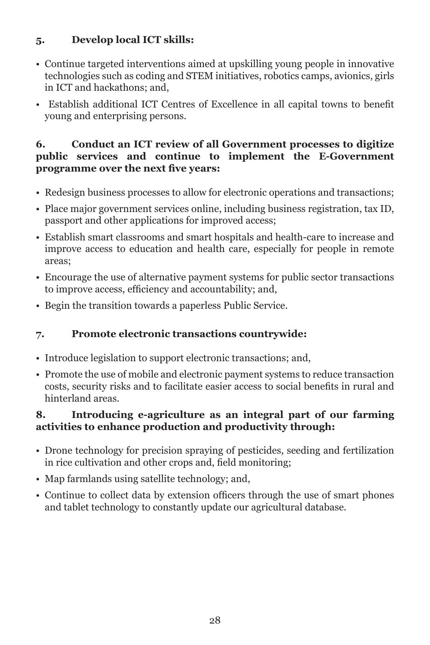#### **5. Develop local ICT skills:**

- Continue targeted interventions aimed at upskilling young people in innovative technologies such as coding and STEM initiatives, robotics camps, avionics, girls in ICT and hackathons; and,
- Establish additional ICT Centres of Excellence in all capital towns to benefit young and enterprising persons.

#### **6. Conduct an ICT review of all Government processes to digitize public services and continue to implement the E-Government programme over the next five years:**

- Redesign business processes to allow for electronic operations and transactions;
- Place major government services online, including business registration, tax ID, passport and other applications for improved access;
- Establish smart classrooms and smart hospitals and health-care to increase and improve access to education and health care, especially for people in remote areas;
- Encourage the use of alternative payment systems for public sector transactions to improve access, efficiency and accountability; and,
- Begin the transition towards a paperless Public Service.

#### **7. Promote electronic transactions countrywide:**

- Introduce legislation to support electronic transactions; and,
- Promote the use of mobile and electronic payment systems to reduce transaction costs, security risks and to facilitate easier access to social benefits in rural and hinterland areas.

#### **8. Introducing e-agriculture as an integral part of our farming activities to enhance production and productivity through:**

- Drone technology for precision spraying of pesticides, seeding and fertilization in rice cultivation and other crops and, field monitoring;
- Map farmlands using satellite technology; and,
- Continue to collect data by extension officers through the use of smart phones and tablet technology to constantly update our agricultural database.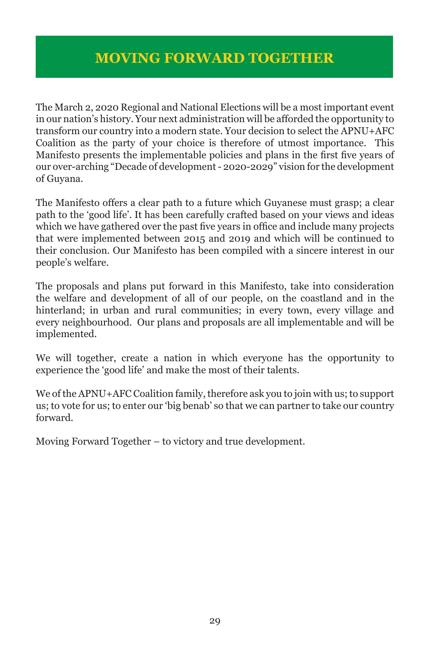The March 2, 2020 Regional and National Elections will be a most important event in our nation's history. Your next administration will be afforded the opportunity to transform our country into a modern state. Your decision to select the APNU+AFC Coalition as the party of your choice is therefore of utmost importance. This Manifesto presents the implementable policies and plans in the first five years of our over-arching "Decade of development - 2020-2029" vision for the development of Guyana.

The Manifesto offers a clear path to a future which Guyanese must grasp; a clear path to the 'good life'. It has been carefully crafted based on your views and ideas which we have gathered over the past five years in office and include many projects that were implemented between 2015 and 2019 and which will be continued to their conclusion. Our Manifesto has been compiled with a sincere interest in our people's welfare.

The proposals and plans put forward in this Manifesto, take into consideration the welfare and development of all of our people, on the coastland and in the hinterland; in urban and rural communities; in every town, every village and every neighbourhood. Our plans and proposals are all implementable and will be implemented.

We will together, create a nation in which everyone has the opportunity to experience the 'good life' and make the most of their talents.

We of the APNU+AFC Coalition family, therefore ask you to join with us; to support us; to vote for us; to enter our 'big benab' so that we can partner to take our country forward.

Moving Forward Together – to victory and true development.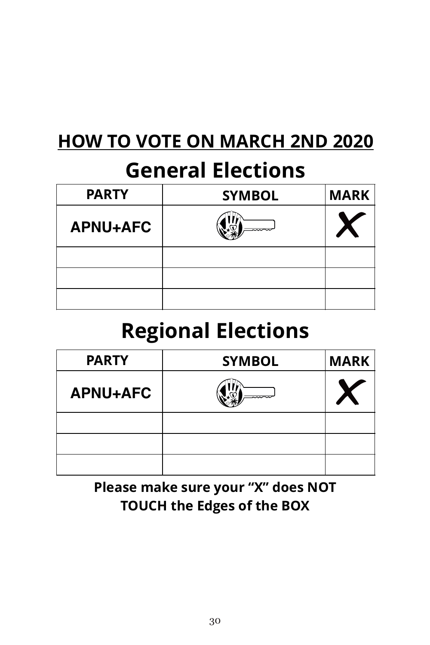# **HOW
TO
VOTE
ON
MARCH
2ND
2020**

# **General
Elections**

| <b>PARTY</b>    | <b>SYMBOL</b> | <b>MARK</b> |
|-----------------|---------------|-------------|
| <b>APNU+AFC</b> |               |             |
|                 |               |             |
|                 |               |             |
|                 |               |             |

# **Regional
Elections**

| <b>PARTY</b>    | <b>SYMBOL</b> | <b>MARK</b> |
|-----------------|---------------|-------------|
| <b>APNU+AFC</b> |               |             |
|                 |               |             |
|                 |               |             |
|                 |               |             |

## **Please
make
sure
your
"X"
does
NOT TOUCH
the
Edges
of
the
BOX**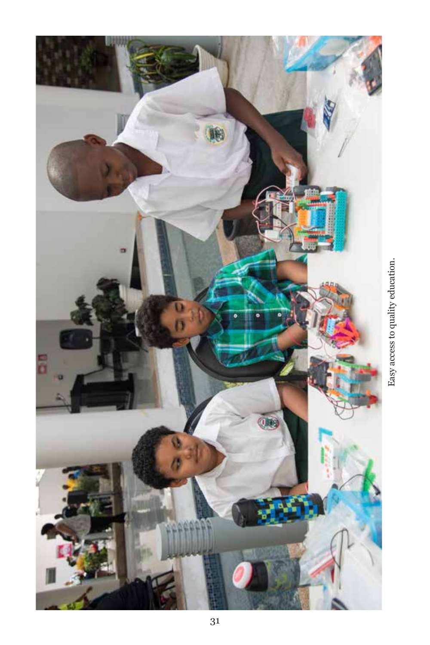

Easy access to quality education. Easy access to quality education.